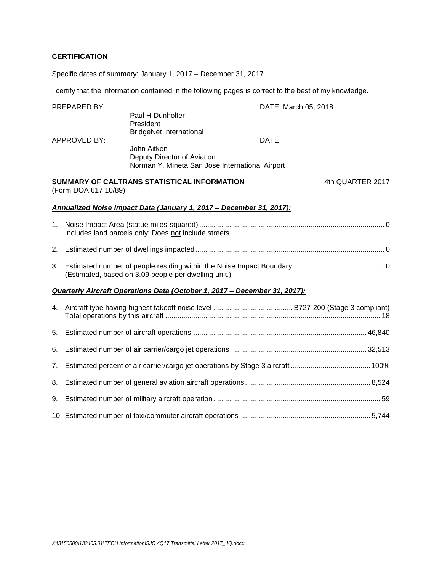## **CERTIFICATION**

Specific dates of summary: January 1, 2017 – December 31, 2017

I certify that the information contained in the following pages is correct to the best of my knowledge.

|    | PREPARED BY:         |                                                                           | DATE: March 05, 2018 |                  |
|----|----------------------|---------------------------------------------------------------------------|----------------------|------------------|
|    |                      | Paul H Dunholter<br>President<br><b>BridgeNet International</b>           |                      |                  |
|    | <b>APPROVED BY:</b>  |                                                                           |                      |                  |
|    |                      | John Aitken                                                               |                      |                  |
|    |                      | Deputy Director of Aviation                                               |                      |                  |
|    |                      | Norman Y. Mineta San Jose International Airport                           |                      |                  |
|    | (Form DOA 617 10/89) | SUMMARY OF CALTRANS STATISTICAL INFORMATION                               |                      | 4th QUARTER 2017 |
|    |                      | Annualized Noise Impact Data (January 1, 2017 - December 31, 2017):       |                      |                  |
| 1. |                      | Includes land parcels only: Does not include streets                      |                      |                  |
| 2. |                      |                                                                           |                      |                  |
| 3. |                      | (Estimated, based on 3.09 people per dwelling unit.)                      |                      |                  |
|    |                      | Quarterly Aircraft Operations Data (October 1, 2017 - December 31, 2017): |                      |                  |
|    |                      |                                                                           |                      |                  |
| 5. |                      |                                                                           |                      |                  |
| 6. |                      |                                                                           |                      |                  |
| 7. |                      |                                                                           |                      |                  |
| 8. |                      |                                                                           |                      |                  |
| 9. |                      |                                                                           |                      |                  |
|    |                      |                                                                           |                      |                  |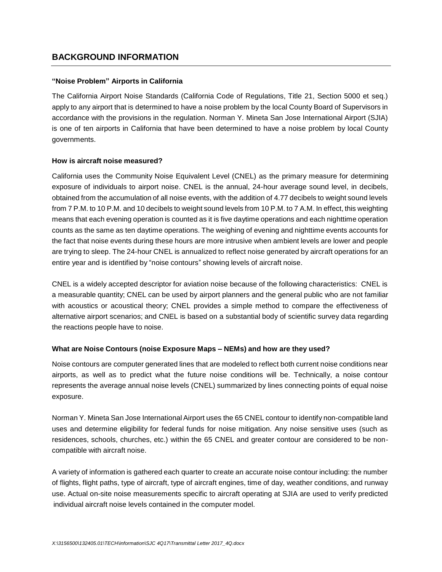## **BACKGROUND INFORMATION**

## **"Noise Problem" Airports in California**

The California Airport Noise Standards (California Code of Regulations, Title 21, Section 5000 et seq.) apply to any airport that is determined to have a noise problem by the local County Board of Supervisors in accordance with the provisions in the regulation. Norman Y. Mineta San Jose International Airport (SJIA) is one of ten airports in California that have been determined to have a noise problem by local County governments.

## **How is aircraft noise measured?**

California uses the Community Noise Equivalent Level (CNEL) as the primary measure for determining exposure of individuals to airport noise. CNEL is the annual, 24-hour average sound level, in decibels, obtained from the accumulation of all noise events, with the addition of 4.77 decibels to weight sound levels from 7 P.M. to 10 P.M. and 10 decibels to weight sound levels from 10 P.M. to 7 A.M. In effect, this weighting means that each evening operation is counted as it is five daytime operations and each nighttime operation counts as the same as ten daytime operations. The weighing of evening and nighttime events accounts for the fact that noise events during these hours are more intrusive when ambient levels are lower and people are trying to sleep. The 24-hour CNEL is annualized to reflect noise generated by aircraft operations for an entire year and is identified by "noise contours" showing levels of aircraft noise.

CNEL is a widely accepted descriptor for aviation noise because of the following characteristics: CNEL is a measurable quantity; CNEL can be used by airport planners and the general public who are not familiar with acoustics or acoustical theory; CNEL provides a simple method to compare the effectiveness of alternative airport scenarios; and CNEL is based on a substantial body of scientific survey data regarding the reactions people have to noise.

## **What are Noise Contours (noise Exposure Maps – NEMs) and how are they used?**

Noise contours are computer generated lines that are modeled to reflect both current noise conditions near airports, as well as to predict what the future noise conditions will be. Technically, a noise contour represents the average annual noise levels (CNEL) summarized by lines connecting points of equal noise exposure.

Norman Y. Mineta San Jose International Airport uses the 65 CNEL contour to identify non-compatible land uses and determine eligibility for federal funds for noise mitigation. Any noise sensitive uses (such as residences, schools, churches, etc.) within the 65 CNEL and greater contour are considered to be noncompatible with aircraft noise.

A variety of information is gathered each quarter to create an accurate noise contour including: the number of flights, flight paths, type of aircraft, type of aircraft engines, time of day, weather conditions, and runway use. Actual on-site noise measurements specific to aircraft operating at SJIA are used to verify predicted individual aircraft noise levels contained in the computer model.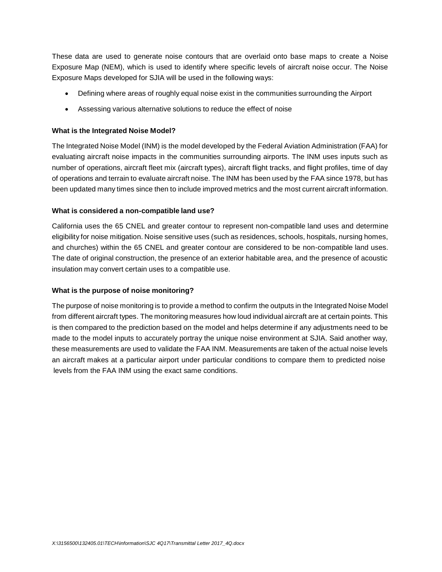These data are used to generate noise contours that are overlaid onto base maps to create a Noise Exposure Map (NEM), which is used to identify where specific levels of aircraft noise occur. The Noise Exposure Maps developed for SJIA will be used in the following ways:

- Defining where areas of roughly equal noise exist in the communities surrounding the Airport
- Assessing various alternative solutions to reduce the effect of noise

## **What is the Integrated Noise Model?**

The Integrated Noise Model (INM) is the model developed by the Federal Aviation Administration (FAA) for evaluating aircraft noise impacts in the communities surrounding airports. The INM uses inputs such as number of operations, aircraft fleet mix (aircraft types), aircraft flight tracks, and flight profiles, time of day of operations and terrain to evaluate aircraft noise. The INM has been used by the FAA since 1978, but has been updated many times since then to include improved metrics and the most current aircraft information.

## **What is considered a non-compatible land use?**

California uses the 65 CNEL and greater contour to represent non-compatible land uses and determine eligibility for noise mitigation. Noise sensitive uses (such as residences, schools, hospitals, nursing homes, and churches) within the 65 CNEL and greater contour are considered to be non-compatible land uses. The date of original construction, the presence of an exterior habitable area, and the presence of acoustic insulation may convert certain uses to a compatible use.

## **What is the purpose of noise monitoring?**

The purpose of noise monitoring is to provide a method to confirm the outputs in the Integrated Noise Model from different aircraft types. The monitoring measures how loud individual aircraft are at certain points. This is then compared to the prediction based on the model and helps determine if any adjustments need to be made to the model inputs to accurately portray the unique noise environment at SJIA. Said another way, these measurements are used to validate the FAA INM. Measurements are taken of the actual noise levels an aircraft makes at a particular airport under particular conditions to compare them to predicted noise levels from the FAA INM using the exact same conditions.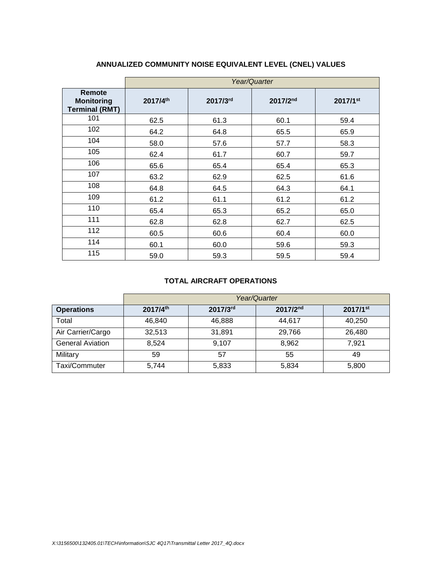|                                                      | Year/Quarter |          |          |          |  |  |  |  |  |  |  |
|------------------------------------------------------|--------------|----------|----------|----------|--|--|--|--|--|--|--|
| Remote<br><b>Monitoring</b><br><b>Terminal (RMT)</b> | 2017/4th     | 2017/3rd | 2017/2nd | 2017/1st |  |  |  |  |  |  |  |
| 101                                                  | 62.5         | 61.3     | 60.1     | 59.4     |  |  |  |  |  |  |  |
| 102                                                  | 64.2         | 64.8     | 65.5     | 65.9     |  |  |  |  |  |  |  |
| 104                                                  | 58.0         | 57.6     | 57.7     | 58.3     |  |  |  |  |  |  |  |
| 105                                                  | 62.4         | 61.7     | 60.7     | 59.7     |  |  |  |  |  |  |  |
| 106                                                  | 65.6         | 65.4     | 65.4     | 65.3     |  |  |  |  |  |  |  |
| 107                                                  | 63.2         | 62.9     | 62.5     | 61.6     |  |  |  |  |  |  |  |
| 108                                                  | 64.8         | 64.5     | 64.3     | 64.1     |  |  |  |  |  |  |  |
| 109                                                  | 61.2         | 61.1     | 61.2     | 61.2     |  |  |  |  |  |  |  |
| 110                                                  | 65.4         | 65.3     | 65.2     | 65.0     |  |  |  |  |  |  |  |
| 111                                                  | 62.8         | 62.8     | 62.7     | 62.5     |  |  |  |  |  |  |  |
| 112                                                  | 60.5         | 60.6     | 60.4     | 60.0     |  |  |  |  |  |  |  |
| 114                                                  | 60.1         | 60.0     | 59.6     | 59.3     |  |  |  |  |  |  |  |
| 115                                                  | 59.0         | 59.3     | 59.5     | 59.4     |  |  |  |  |  |  |  |

# **ANNUALIZED COMMUNITY NOISE EQUIVALENT LEVEL (CNEL) VALUES**

#### **TOTAL AIRCRAFT OPERATIONS**

|                         | Year/Quarter |          |          |                        |  |  |  |  |  |  |  |  |
|-------------------------|--------------|----------|----------|------------------------|--|--|--|--|--|--|--|--|
| <b>Operations</b>       | 2017/4th     | 2017/3rd | 2017/2nd | $2017/1$ <sup>st</sup> |  |  |  |  |  |  |  |  |
| Total                   | 46.840       | 46,888   | 44.617   | 40,250                 |  |  |  |  |  |  |  |  |
| Air Carrier/Cargo       | 32,513       | 31,891   | 29,766   | 26,480                 |  |  |  |  |  |  |  |  |
| <b>General Aviation</b> | 8,524        | 9,107    | 8,962    | 7.921                  |  |  |  |  |  |  |  |  |
| Military                | 59           | 57       | 55       | 49                     |  |  |  |  |  |  |  |  |
| Taxi/Commuter           | 5.744        | 5,833    | 5,834    | 5,800                  |  |  |  |  |  |  |  |  |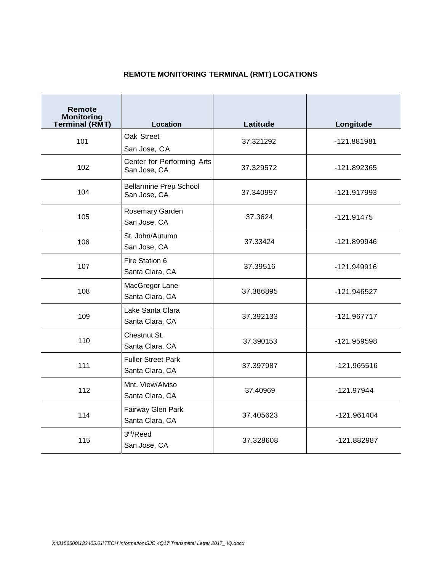# **REMOTE MONITORING TERMINAL (RMT) LOCATIONS**

| Remote<br><b>Monitoring</b><br><b>Terminal (RMT)</b> | Location                                      | Latitude  | Longitude     |  |  |
|------------------------------------------------------|-----------------------------------------------|-----------|---------------|--|--|
| 101                                                  | Oak Street<br>San Jose, CA                    | 37.321292 | -121.881981   |  |  |
| 102                                                  | Center for Performing Arts<br>San Jose, CA    | 37.329572 | -121.892365   |  |  |
| 104                                                  | <b>Bellarmine Prep School</b><br>San Jose, CA | 37.340997 | -121.917993   |  |  |
| 105                                                  | Rosemary Garden<br>San Jose, CA               | 37.3624   | $-121.91475$  |  |  |
| 106                                                  | St. John/Autumn<br>San Jose, CA               | 37.33424  | -121.899946   |  |  |
| 107                                                  | Fire Station 6<br>Santa Clara, CA             | 37.39516  | $-121.949916$ |  |  |
| 108                                                  | MacGregor Lane<br>Santa Clara, CA             | 37.386895 | -121.946527   |  |  |
| 109                                                  | Lake Santa Clara<br>Santa Clara, CA           | 37.392133 | $-121.967717$ |  |  |
| 110                                                  | Chestnut St.<br>Santa Clara, CA               | 37.390153 | -121.959598   |  |  |
| 111                                                  | <b>Fuller Street Park</b><br>Santa Clara, CA  | 37.397987 | -121.965516   |  |  |
| 112                                                  | Mnt. View/Alviso<br>Santa Clara, CA           | 37.40969  | $-121.97944$  |  |  |
| 114                                                  | Fairway Glen Park<br>Santa Clara, CA          | 37.405623 | $-121.961404$ |  |  |
| 115                                                  | 3rd/Reed<br>San Jose, CA                      | 37.328608 | -121.882987   |  |  |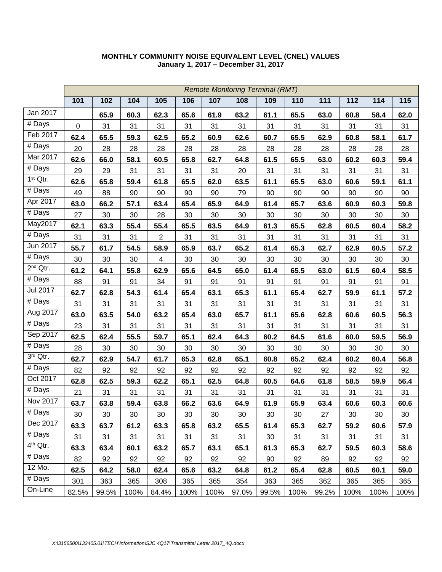|                      |       | <b>Remote Monitoring Terminal (RMT)</b> |      |                |      |      |       |       |      |       |      |      |      |
|----------------------|-------|-----------------------------------------|------|----------------|------|------|-------|-------|------|-------|------|------|------|
|                      | 101   | 102                                     | 104  | 105            | 106  | 107  | 108   | 109   | 110  | 111   | 112  | 114  | 115  |
| Jan 2017             |       | 65.9                                    | 60.3 | 62.3           | 65.6 | 61.9 | 63.2  | 61.1  | 65.5 | 63.0  | 60.8 | 58.4 | 62.0 |
| # Days               | 0     | 31                                      | 31   | 31             | 31   | 31   | 31    | 31    | 31   | 31    | 31   | 31   | 31   |
| Feb 2017             | 62.4  | 65.5                                    | 59.3 | 62.5           | 65.2 | 60.9 | 62.6  | 60.7  | 65.5 | 62.9  | 60.8 | 58.1 | 61.7 |
| # Days               | 20    | 28                                      | 28   | 28             | 28   | 28   | 28    | 28    | 28   | 28    | 28   | 28   | 28   |
| Mar 2017             | 62.6  | 66.0                                    | 58.1 | 60.5           | 65.8 | 62.7 | 64.8  | 61.5  | 65.5 | 63.0  | 60.2 | 60.3 | 59.4 |
| # Days               | 29    | 29                                      | 31   | 31             | 31   | 31   | 20    | 31    | 31   | 31    | 31   | 31   | 31   |
| 1 <sup>st</sup> Qtr. | 62.6  | 65.8                                    | 59.4 | 61.8           | 65.5 | 62.0 | 63.5  | 61.1  | 65.5 | 63.0  | 60.6 | 59.1 | 61.1 |
| # Days               | 49    | 88                                      | 90   | 90             | 90   | 90   | 79    | 90    | 90   | 90    | 90   | 90   | 90   |
| Apr 2017             | 63.0  | 66.2                                    | 57.1 | 63.4           | 65.4 | 65.9 | 64.9  | 61.4  | 65.7 | 63.6  | 60.9 | 60.3 | 59.8 |
| # Days               | 27    | 30                                      | 30   | 28             | 30   | 30   | 30    | 30    | 30   | 30    | 30   | 30   | 30   |
| May2017              | 62.1  | 63.3                                    | 55.4 | 55.4           | 65.5 | 63.5 | 64.9  | 61.3  | 65.5 | 62.8  | 60.5 | 60.4 | 58.2 |
| # Days               | 31    | 31                                      | 31   | $\overline{2}$ | 31   | 31   | 31    | 31    | 31   | 31    | 31   | 31   | 31   |
| Jun 2017             | 55.7  | 61.7                                    | 54.5 | 58.9           | 65.9 | 63.7 | 65.2  | 61.4  | 65.3 | 62.7  | 62.9 | 60.5 | 57.2 |
| # Days               | 30    | 30                                      | 30   | $\overline{4}$ | 30   | 30   | 30    | 30    | 30   | 30    | 30   | 30   | 30   |
| 2 <sup>nd</sup> Qtr. | 61.2  | 64.1                                    | 55.8 | 62.9           | 65.6 | 64.5 | 65.0  | 61.4  | 65.5 | 63.0  | 61.5 | 60.4 | 58.5 |
| $\overline{\#}$ Days | 88    | 91                                      | 91   | 34             | 91   | 91   | 91    | 91    | 91   | 91    | 91   | 91   | 91   |
| <b>Jul 2017</b>      | 62.7  | 62.8                                    | 54.3 | 61.4           | 65.4 | 63.1 | 65.3  | 61.1  | 65.4 | 62.7  | 59.9 | 61.1 | 57.2 |
| $\overline{\#}$ Days | 31    | 31                                      | 31   | 31             | 31   | 31   | 31    | 31    | 31   | 31    | 31   | 31   | 31   |
| Aug 2017             | 63.0  | 63.5                                    | 54.0 | 63.2           | 65.4 | 63.0 | 65.7  | 61.1  | 65.6 | 62.8  | 60.6 | 60.5 | 56.3 |
| # Days               | 23    | 31                                      | 31   | 31             | 31   | 31   | 31    | 31    | 31   | 31    | 31   | 31   | 31   |
| Sep 2017             | 62.5  | 62.4                                    | 55.5 | 59.7           | 65.1 | 62.4 | 64.3  | 60.2  | 64.5 | 61.6  | 60.0 | 59.5 | 56.9 |
| $#$ Days             | 28    | 30                                      | 30   | 30             | 30   | 30   | 30    | 30    | 30   | 30    | 30   | 30   | 30   |
| 3rd Qtr.             | 62.7  | 62.9                                    | 54.7 | 61.7           | 65.3 | 62.8 | 65.1  | 60.8  | 65.2 | 62.4  | 60.2 | 60.4 | 56.8 |
| # Days               | 82    | 92                                      | 92   | 92             | 92   | 92   | 92    | 92    | 92   | 92    | 92   | 92   | 92   |
| Oct 2017             | 62.8  | 62.5                                    | 59.3 | 62.2           | 65.1 | 62.5 | 64.8  | 60.5  | 64.6 | 61.8  | 58.5 | 59.9 | 56.4 |
| # Days               | 21    | 31                                      | 31   | 31             | 31   | 31   | 31    | 31    | 31   | 31    | 31   | 31   | 31   |
| Nov 2017             | 63.7  | 63.8                                    | 59.4 | 63.8           | 66.2 | 63.6 | 64.9  | 61.9  | 65.9 | 63.4  | 60.6 | 60.3 | 60.6 |
| # Days               | 30    | 30                                      | 30   | 30             | 30   | 30   | 30    | 30    | 30   | 27    | 30   | 30   | 30   |
| Dec 2017             | 63.3  | 63.7                                    | 61.2 | 63.3           | 65.8 | 63.2 | 65.5  | 61.4  | 65.3 | 62.7  | 59.2 | 60.6 | 57.9 |
| # Days               | 31    | 31                                      | 31   | 31             | 31   | 31   | 31    | 30    | 31   | 31    | 31   | 31   | 31   |
| 4 <sup>th</sup> Qtr. | 63.3  | 63.4                                    | 60.1 | 63.2           | 65.7 | 63.1 | 65.1  | 61.3  | 65.3 | 62.7  | 59.5 | 60.3 | 58.6 |
| # Days               | 82    | 92                                      | 92   | 92             | 92   | 92   | 92    | 90    | 92   | 89    | 92   | 92   | 92   |
| 12 Mo.               | 62.5  | 64.2                                    | 58.0 | 62.4           | 65.6 | 63.2 | 64.8  | 61.2  | 65.4 | 62.8  | 60.5 | 60.1 | 59.0 |
| # Days               | 301   | 363                                     | 365  | 308            | 365  | 365  | 354   | 363   | 365  | 362   | 365  | 365  | 365  |
| On-Line              | 82.5% | 99.5%                                   | 100% | 84.4%          | 100% | 100% | 97.0% | 99.5% | 100% | 99.2% | 100% | 100% | 100% |

### **MONTHLY COMMUNITY NOISE EQUIVALENT LEVEL (CNEL) VALUES January 1, 2017 – December 31, 2017**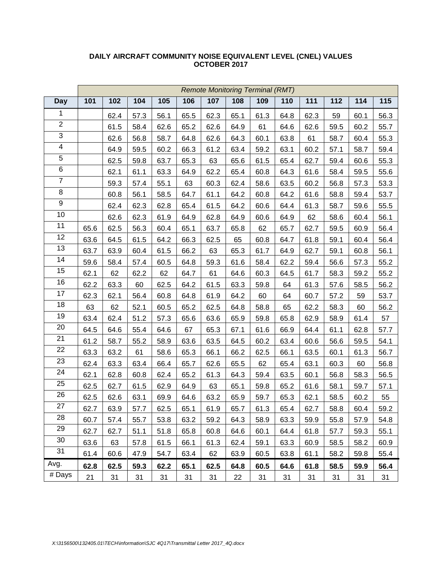|                | <b>Remote Monitoring Terminal (RMT)</b> |      |      |      |      |      |      |      |      |      |      |      |      |
|----------------|-----------------------------------------|------|------|------|------|------|------|------|------|------|------|------|------|
| <b>Day</b>     | 101                                     | 102  | 104  | 105  | 106  | 107  | 108  | 109  | 110  | 111  | 112  | 114  | 115  |
| 1              |                                         | 62.4 | 57.3 | 56.1 | 65.5 | 62.3 | 65.1 | 61.3 | 64.8 | 62.3 | 59   | 60.1 | 56.3 |
| $\overline{2}$ |                                         | 61.5 | 58.4 | 62.6 | 65.2 | 62.6 | 64.9 | 61   | 64.6 | 62.6 | 59.5 | 60.2 | 55.7 |
| $\overline{3}$ |                                         | 62.6 | 56.8 | 58.7 | 64.8 | 62.6 | 64.3 | 60.1 | 63.8 | 61   | 58.7 | 60.4 | 55.3 |
| 4              |                                         | 64.9 | 59.5 | 60.2 | 66.3 | 61.2 | 63.4 | 59.2 | 63.1 | 60.2 | 57.1 | 58.7 | 59.4 |
| $\overline{5}$ |                                         | 62.5 | 59.8 | 63.7 | 65.3 | 63   | 65.6 | 61.5 | 65.4 | 62.7 | 59.4 | 60.6 | 55.3 |
| $\,6$          |                                         | 62.1 | 61.1 | 63.3 | 64.9 | 62.2 | 65.4 | 60.8 | 64.3 | 61.6 | 58.4 | 59.5 | 55.6 |
| $\overline{7}$ |                                         | 59.3 | 57.4 | 55.1 | 63   | 60.3 | 62.4 | 58.6 | 63.5 | 60.2 | 56.8 | 57.3 | 53.3 |
| $\overline{8}$ |                                         | 60.8 | 56.1 | 58.5 | 64.7 | 61.1 | 64.2 | 60.8 | 64.2 | 61.6 | 58.8 | 59.4 | 53.7 |
| 9              |                                         | 62.4 | 62.3 | 62.8 | 65.4 | 61.5 | 64.2 | 60.6 | 64.4 | 61.3 | 58.7 | 59.6 | 55.5 |
| 10             |                                         | 62.6 | 62.3 | 61.9 | 64.9 | 62.8 | 64.9 | 60.6 | 64.9 | 62   | 58.6 | 60.4 | 56.1 |
| 11             | 65.6                                    | 62.5 | 56.3 | 60.4 | 65.1 | 63.7 | 65.8 | 62   | 65.7 | 62.7 | 59.5 | 60.9 | 56.4 |
| 12             | 63.6                                    | 64.5 | 61.5 | 64.2 | 66.3 | 62.5 | 65   | 60.8 | 64.7 | 61.8 | 59.1 | 60.4 | 56.4 |
| 13             | 63.7                                    | 63.9 | 60.4 | 61.5 | 66.2 | 63   | 65.3 | 61.7 | 64.9 | 62.7 | 59.1 | 60.8 | 56.1 |
| 14             | 59.6                                    | 58.4 | 57.4 | 60.5 | 64.8 | 59.3 | 61.6 | 58.4 | 62.2 | 59.4 | 56.6 | 57.3 | 55.2 |
| 15             | 62.1                                    | 62   | 62.2 | 62   | 64.7 | 61   | 64.6 | 60.3 | 64.5 | 61.7 | 58.3 | 59.2 | 55.2 |
| 16             | 62.2                                    | 63.3 | 60   | 62.5 | 64.2 | 61.5 | 63.3 | 59.8 | 64   | 61.3 | 57.6 | 58.5 | 56.2 |
| 17             | 62.3                                    | 62.1 | 56.4 | 60.8 | 64.8 | 61.9 | 64.2 | 60   | 64   | 60.7 | 57.2 | 59   | 53.7 |
| 18             | 63                                      | 62   | 52.1 | 60.5 | 65.2 | 62.5 | 64.8 | 58.8 | 65   | 62.2 | 58.3 | 60   | 56.2 |
| 19             | 63.4                                    | 62.4 | 51.2 | 57.3 | 65.6 | 63.6 | 65.9 | 59.8 | 65.8 | 62.9 | 58.9 | 61.4 | 57   |
| 20             | 64.5                                    | 64.6 | 55.4 | 64.6 | 67   | 65.3 | 67.1 | 61.6 | 66.9 | 64.4 | 61.1 | 62.8 | 57.7 |
| 21             | 61.2                                    | 58.7 | 55.2 | 58.9 | 63.6 | 63.5 | 64.5 | 60.2 | 63.4 | 60.6 | 56.6 | 59.5 | 54.1 |
| 22             | 63.3                                    | 63.2 | 61   | 58.6 | 65.3 | 66.1 | 66.2 | 62.5 | 66.1 | 63.5 | 60.1 | 61.3 | 56.7 |
| 23             | 62.4                                    | 63.3 | 63.4 | 66.4 | 65.7 | 62.6 | 65.5 | 62   | 65.4 | 63.1 | 60.3 | 60   | 56.8 |
| 24             | 62.1                                    | 62.8 | 60.8 | 62.4 | 65.2 | 61.3 | 64.3 | 59.4 | 63.5 | 60.1 | 56.8 | 58.3 | 56.5 |
| 25             | 62.5                                    | 62.7 | 61.5 | 62.9 | 64.9 | 63   | 65.1 | 59.8 | 65.2 | 61.6 | 58.1 | 59.7 | 57.1 |
| 26             | 62.5                                    | 62.6 | 63.1 | 69.9 | 64.6 | 63.2 | 65.9 | 59.7 | 65.3 | 62.1 | 58.5 | 60.2 | 55   |
| 27             | 62.7                                    | 63.9 | 57.7 | 62.5 | 65.1 | 61.9 | 65.7 | 61.3 | 65.4 | 62.7 | 58.8 | 60.4 | 59.2 |
| 28             | 60.7                                    | 57.4 | 55.7 | 53.8 | 63.2 | 59.2 | 64.3 | 58.9 | 63.3 | 59.9 | 55.8 | 57.9 | 54.8 |
| 29             | 62.7                                    | 62.7 | 51.1 | 51.8 | 65.8 | 60.8 | 64.6 | 60.1 | 64.4 | 61.8 | 57.7 | 59.3 | 55.1 |
| 30             | 63.6                                    | 63   | 57.8 | 61.5 | 66.1 | 61.3 | 62.4 | 59.1 | 63.3 | 60.9 | 58.5 | 58.2 | 60.9 |
| 31             | 61.4                                    | 60.6 | 47.9 | 54.7 | 63.4 | 62   | 63.9 | 60.5 | 63.8 | 61.1 | 58.2 | 59.8 | 55.4 |
| Avg.           | 62.8                                    | 62.5 | 59.3 | 62.2 | 65.1 | 62.5 | 64.8 | 60.5 | 64.6 | 61.8 | 58.5 | 59.9 | 56.4 |
| # Days         | 21                                      | 31   | 31   | 31   | 31   | 31   | 22   | 31   | 31   | 31   | 31   | 31   | 31   |

### **DAILY AIRCRAFT COMMUNITY NOISE EQUIVALENT LEVEL (CNEL) VALUES OCTOBER 2017**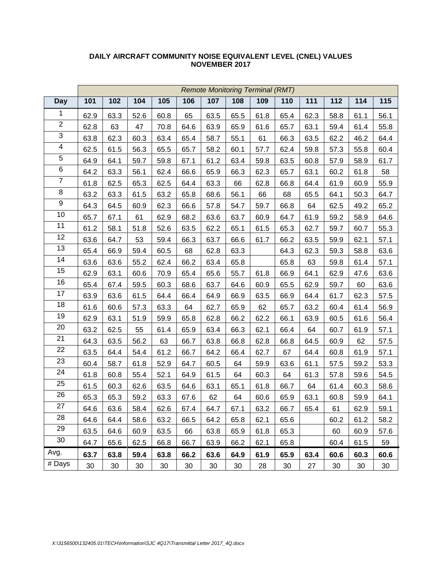|                         | <b>Remote Monitoring Terminal (RMT)</b> |      |      |      |      |      |      |      |      |      |      |      |      |
|-------------------------|-----------------------------------------|------|------|------|------|------|------|------|------|------|------|------|------|
| <b>Day</b>              | 101                                     | 102  | 104  | 105  | 106  | 107  | 108  | 109  | 110  | 111  | 112  | 114  | 115  |
| 1                       | 62.9                                    | 63.3 | 52.6 | 60.8 | 65   | 63.5 | 65.5 | 61.8 | 65.4 | 62.3 | 58.8 | 61.1 | 56.1 |
| $\overline{2}$          | 62.8                                    | 63   | 47   | 70.8 | 64.6 | 63.9 | 65.9 | 61.6 | 65.7 | 63.1 | 59.4 | 61.4 | 55.8 |
| $\overline{3}$          | 63.8                                    | 62.3 | 60.3 | 63.4 | 65.4 | 58.7 | 55.1 | 61   | 66.3 | 63.5 | 62.2 | 46.2 | 64.4 |
| $\overline{\mathbf{4}}$ | 62.5                                    | 61.5 | 56.3 | 65.5 | 65.7 | 58.2 | 60.1 | 57.7 | 62.4 | 59.8 | 57.3 | 55.8 | 60.4 |
| $\overline{5}$          | 64.9                                    | 64.1 | 59.7 | 59.8 | 67.1 | 61.2 | 63.4 | 59.8 | 63.5 | 60.8 | 57.9 | 58.9 | 61.7 |
| 6                       | 64.2                                    | 63.3 | 56.1 | 62.4 | 66.6 | 65.9 | 66.3 | 62.3 | 65.7 | 63.1 | 60.2 | 61.8 | 58   |
| $\overline{7}$          | 61.8                                    | 62.5 | 65.3 | 62.5 | 64.4 | 63.3 | 66   | 62.8 | 66.8 | 64.4 | 61.9 | 60.9 | 55.9 |
| 8                       | 63.2                                    | 63.3 | 61.5 | 63.2 | 65.8 | 68.6 | 56.1 | 66   | 68   | 65.5 | 64.1 | 50.3 | 64.7 |
| $\boldsymbol{9}$        | 64.3                                    | 64.5 | 60.9 | 62.3 | 66.6 | 57.8 | 54.7 | 59.7 | 66.8 | 64   | 62.5 | 49.2 | 65.2 |
| 10                      | 65.7                                    | 67.1 | 61   | 62.9 | 68.2 | 63.6 | 63.7 | 60.9 | 64.7 | 61.9 | 59.2 | 58.9 | 64.6 |
| 11                      | 61.2                                    | 58.1 | 51.8 | 52.6 | 63.5 | 62.2 | 65.1 | 61.5 | 65.3 | 62.7 | 59.7 | 60.7 | 55.3 |
| 12                      | 63.6                                    | 64.7 | 53   | 59.4 | 66.3 | 63.7 | 66.6 | 61.7 | 66.2 | 63.5 | 59.9 | 62.1 | 57.1 |
| 13                      | 65.4                                    | 66.9 | 59.4 | 60.5 | 68   | 62.8 | 63.3 |      | 64.3 | 62.3 | 59.3 | 58.8 | 63.6 |
| 14                      | 63.6                                    | 63.6 | 55.2 | 62.4 | 66.2 | 63.4 | 65.8 |      | 65.8 | 63   | 59.8 | 61.4 | 57.1 |
| 15                      | 62.9                                    | 63.1 | 60.6 | 70.9 | 65.4 | 65.6 | 55.7 | 61.8 | 66.9 | 64.1 | 62.9 | 47.6 | 63.6 |
| 16                      | 65.4                                    | 67.4 | 59.5 | 60.3 | 68.6 | 63.7 | 64.6 | 60.9 | 65.5 | 62.9 | 59.7 | 60   | 63.6 |
| 17                      | 63.9                                    | 63.6 | 61.5 | 64.4 | 66.4 | 64.9 | 66.9 | 63.5 | 66.9 | 64.4 | 61.7 | 62.3 | 57.5 |
| 18                      | 61.6                                    | 60.6 | 57.3 | 63.3 | 64   | 62.7 | 65.9 | 62   | 65.7 | 63.2 | 60.4 | 61.4 | 56.9 |
| 19                      | 62.9                                    | 63.1 | 51.9 | 59.9 | 65.8 | 62.8 | 66.2 | 62.2 | 66.1 | 63.9 | 60.5 | 61.6 | 56.4 |
| $\overline{2}0$         | 63.2                                    | 62.5 | 55   | 61.4 | 65.9 | 63.4 | 66.3 | 62.1 | 66.4 | 64   | 60.7 | 61.9 | 57.1 |
| 21                      | 64.3                                    | 63.5 | 56.2 | 63   | 66.7 | 63.8 | 66.8 | 62.8 | 66.8 | 64.5 | 60.9 | 62   | 57.5 |
| 22                      | 63.5                                    | 64.4 | 54.4 | 61.2 | 66.7 | 64.2 | 66.4 | 62.7 | 67   | 64.4 | 60.8 | 61.9 | 57.1 |
| 23                      | 60.4                                    | 58.7 | 61.8 | 52.9 | 64.7 | 60.5 | 64   | 59.9 | 63.6 | 61.1 | 57.5 | 59.2 | 53.3 |
| 24                      | 61.8                                    | 60.8 | 55.4 | 52.1 | 64.9 | 61.5 | 64   | 60.3 | 64   | 61.3 | 57.8 | 59.6 | 54.5 |
| $\overline{25}$         | 61.5                                    | 60.3 | 62.6 | 63.5 | 64.6 | 63.1 | 65.1 | 61.8 | 66.7 | 64   | 61.4 | 60.3 | 58.6 |
| 26                      | 65.3                                    | 65.3 | 59.2 | 63.3 | 67.6 | 62   | 64   | 60.6 | 65.9 | 63.1 | 60.8 | 59.9 | 64.1 |
| 27                      | 64.6                                    | 63.6 | 58.4 | 62.6 | 67.4 | 64.7 | 67.1 | 63.2 | 66.7 | 65.4 | 61   | 62.9 | 59.1 |
| 28                      | 64.6                                    | 64.4 | 58.6 | 63.2 | 66.5 | 64.2 | 65.8 | 62.1 | 65.6 |      | 60.2 | 61.2 | 58.2 |
| 29                      | 63.5                                    | 64.6 | 60.9 | 63.5 | 66   | 63.8 | 65.9 | 61.8 | 65.3 |      | 60   | 60.9 | 57.6 |
| 30                      | 64.7                                    | 65.6 | 62.5 | 66.8 | 66.7 | 63.9 | 66.2 | 62.1 | 65.8 |      | 60.4 | 61.5 | 59   |
| Avg.                    | 63.7                                    | 63.8 | 59.4 | 63.8 | 66.2 | 63.6 | 64.9 | 61.9 | 65.9 | 63.4 | 60.6 | 60.3 | 60.6 |
| # Days                  | 30                                      | 30   | 30   | 30   | 30   | 30   | 30   | 28   | 30   | 27   | 30   | 30   | 30   |

### **DAILY AIRCRAFT COMMUNITY NOISE EQUIVALENT LEVEL (CNEL) VALUES NOVEMBER 2017**